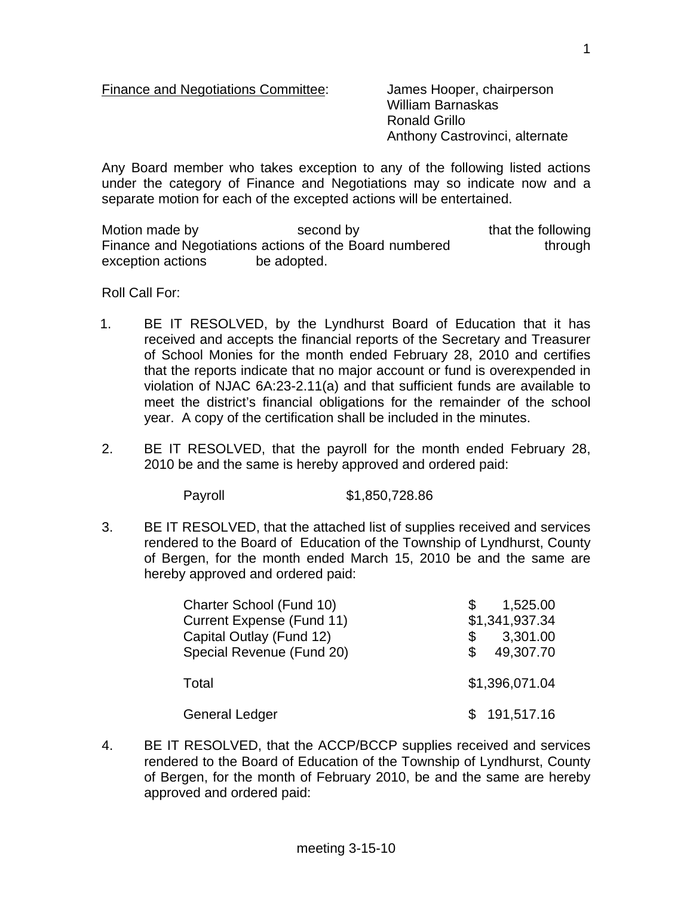Finance and Negotiations Committee: James Hooper, chairperson

 William Barnaskas Ronald Grillo Anthony Castrovinci, alternate

Any Board member who takes exception to any of the following listed actions under the category of Finance and Negotiations may so indicate now and a separate motion for each of the excepted actions will be entertained.

Motion made by second by that the following Finance and Negotiations actions of the Board numbered through exception actions be adopted.

Roll Call For:

- 1. BE IT RESOLVED, by the Lyndhurst Board of Education that it has received and accepts the financial reports of the Secretary and Treasurer of School Monies for the month ended February 28, 2010 and certifies that the reports indicate that no major account or fund is overexpended in violation of NJAC 6A:23-2.11(a) and that sufficient funds are available to meet the district's financial obligations for the remainder of the school year. A copy of the certification shall be included in the minutes.
- 2. BE IT RESOLVED, that the payroll for the month ended February 28, 2010 be and the same is hereby approved and ordered paid:

Payroll \$1,850,728.86

3. BE IT RESOLVED, that the attached list of supplies received and services rendered to the Board of Education of the Township of Lyndhurst, County of Bergen, for the month ended March 15, 2010 be and the same are hereby approved and ordered paid:

| Charter School (Fund 10)  | 1,525.00         |
|---------------------------|------------------|
| Current Expense (Fund 11) | \$1,341,937.34   |
| Capital Outlay (Fund 12)  | 3,301.00         |
| Special Revenue (Fund 20) | 49,307.70<br>\$. |
| Total                     | \$1,396,071.04   |
| <b>General Ledger</b>     | \$191,517.16     |

4. BE IT RESOLVED, that the ACCP/BCCP supplies received and services rendered to the Board of Education of the Township of Lyndhurst, County of Bergen, for the month of February 2010, be and the same are hereby approved and ordered paid: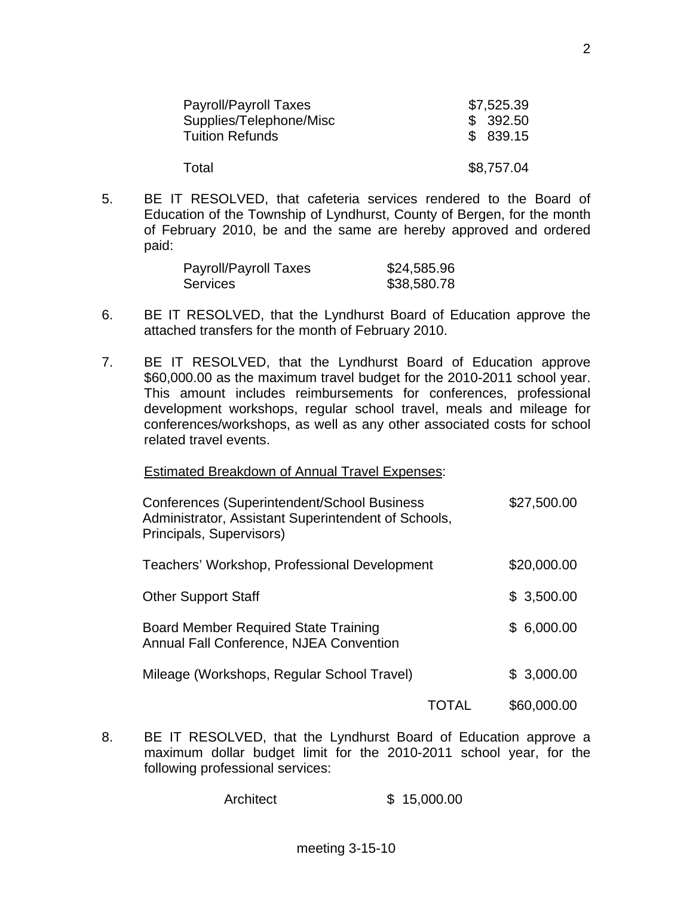| Payroll/Payroll Taxes   | \$7,525.39 |
|-------------------------|------------|
| Supplies/Telephone/Misc | \$392.50   |
| <b>Tuition Refunds</b>  | \$839.15   |
| Total                   | \$8,757.04 |

5. BE IT RESOLVED, that cafeteria services rendered to the Board of Education of the Township of Lyndhurst, County of Bergen, for the month of February 2010, be and the same are hereby approved and ordered paid:

| Payroll/Payroll Taxes | \$24,585.96 |
|-----------------------|-------------|
| <b>Services</b>       | \$38,580.78 |

- 6. BE IT RESOLVED, that the Lyndhurst Board of Education approve the attached transfers for the month of February 2010.
- 7. BE IT RESOLVED, that the Lyndhurst Board of Education approve \$60,000.00 as the maximum travel budget for the 2010-2011 school year. This amount includes reimbursements for conferences, professional development workshops, regular school travel, meals and mileage for conferences/workshops, as well as any other associated costs for school related travel events.

## Estimated Breakdown of Annual Travel Expenses:

| Conferences (Superintendent/School Business<br>Administrator, Assistant Superintendent of Schools,<br>Principals, Supervisors) |  | \$27,500.00 |
|--------------------------------------------------------------------------------------------------------------------------------|--|-------------|
| Teachers' Workshop, Professional Development                                                                                   |  | \$20,000.00 |
| <b>Other Support Staff</b>                                                                                                     |  | \$3,500.00  |
| <b>Board Member Required State Training</b><br>Annual Fall Conference, NJEA Convention                                         |  | \$6,000.00  |
| Mileage (Workshops, Regular School Travel)                                                                                     |  | \$3,000.00  |
|                                                                                                                                |  | \$60,000.00 |

8. BE IT RESOLVED, that the Lyndhurst Board of Education approve a maximum dollar budget limit for the 2010-2011 school year, for the following professional services:

Architect \$ 15,000.00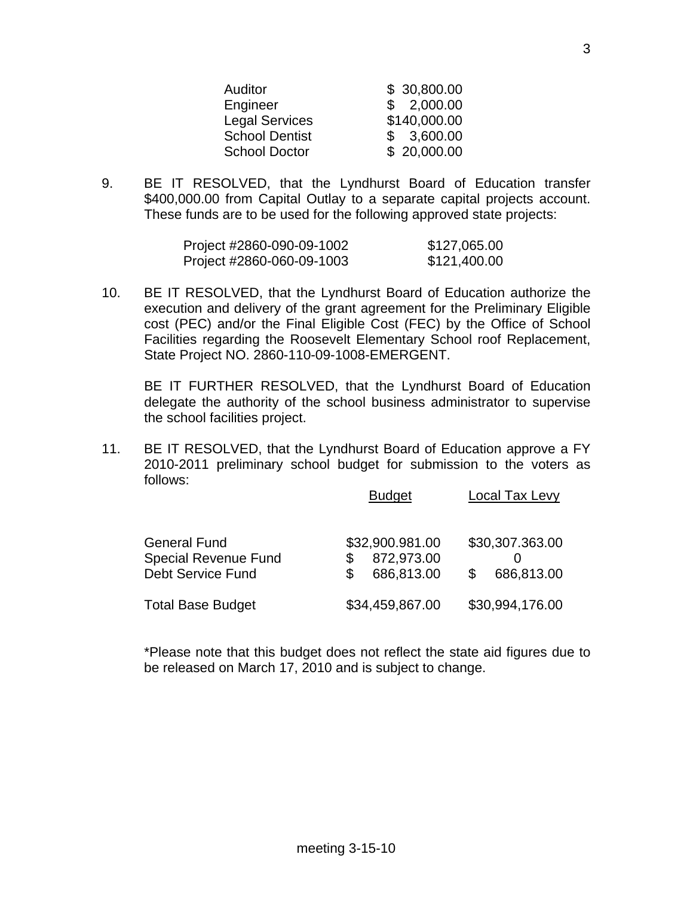| <b>Auditor</b>        | \$30,800.00  |
|-----------------------|--------------|
| Engineer              | \$2,000.00   |
| <b>Legal Services</b> | \$140,000.00 |
| <b>School Dentist</b> | \$3,600.00   |
| <b>School Doctor</b>  | \$20,000.00  |

9. BE IT RESOLVED, that the Lyndhurst Board of Education transfer \$400,000.00 from Capital Outlay to a separate capital projects account. These funds are to be used for the following approved state projects:

| Project #2860-090-09-1002 | \$127,065.00 |
|---------------------------|--------------|
| Project #2860-060-09-1003 | \$121,400.00 |

10. BE IT RESOLVED, that the Lyndhurst Board of Education authorize the execution and delivery of the grant agreement for the Preliminary Eligible cost (PEC) and/or the Final Eligible Cost (FEC) by the Office of School Facilities regarding the Roosevelt Elementary School roof Replacement, State Project NO. 2860-110-09-1008-EMERGENT.

 BE IT FURTHER RESOLVED, that the Lyndhurst Board of Education delegate the authority of the school business administrator to supervise the school facilities project.

11. BE IT RESOLVED, that the Lyndhurst Board of Education approve a FY 2010-2011 preliminary school budget for submission to the voters as follows:

|                                                                                | <b>Budget</b>                               | <b>Local Tax Levy</b>         |
|--------------------------------------------------------------------------------|---------------------------------------------|-------------------------------|
| <b>General Fund</b><br><b>Special Revenue Fund</b><br><b>Debt Service Fund</b> | \$32,900.981.00<br>872,973.00<br>686,813.00 | \$30,307.363.00<br>686,813.00 |
| <b>Total Base Budget</b>                                                       | \$34,459,867.00                             | \$30,994,176.00               |

 \*Please note that this budget does not reflect the state aid figures due to be released on March 17, 2010 and is subject to change.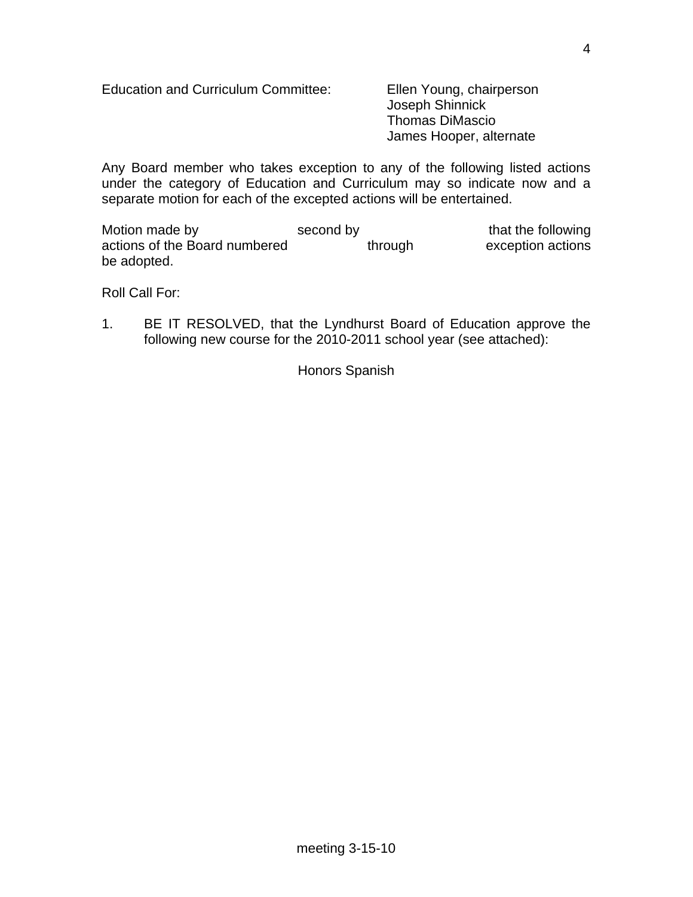Education and Curriculum Committee: Ellen Young, chairperson

 Joseph Shinnick Thomas DiMascio James Hooper, alternate

Any Board member who takes exception to any of the following listed actions under the category of Education and Curriculum may so indicate now and a separate motion for each of the excepted actions will be entertained.

Motion made by second by that the following actions of the Board numbered through exception actions be adopted.

Roll Call For:

1. BE IT RESOLVED, that the Lyndhurst Board of Education approve the following new course for the 2010-2011 school year (see attached):

Honors Spanish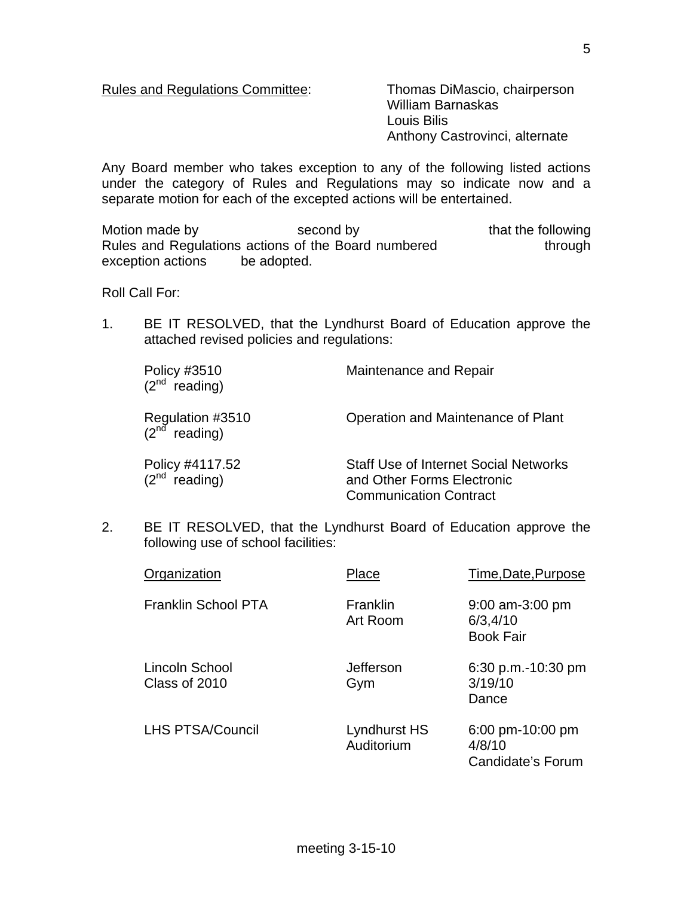Rules and Regulations Committee: Thomas DiMascio, chairperson

 William Barnaskas Louis Bilis Anthony Castrovinci, alternate

Any Board member who takes exception to any of the following listed actions under the category of Rules and Regulations may so indicate now and a separate motion for each of the excepted actions will be entertained.

Motion made by second by that the following Rules and Regulations actions of the Board numbered through exception actions be adopted.

Roll Call For:

1. BE IT RESOLVED, that the Lyndhurst Board of Education approve the attached revised policies and regulations:

| Policy #3510<br>$(2^{nd}$ reading)            | Maintenance and Repair                                                                                      |
|-----------------------------------------------|-------------------------------------------------------------------------------------------------------------|
| Regulation #3510<br>(2 <sup>nd</sup> reading) | Operation and Maintenance of Plant                                                                          |
| Policy #4117.52<br>$(2^{nd}$ reading)         | <b>Staff Use of Internet Social Networks</b><br>and Other Forms Electronic<br><b>Communication Contract</b> |

2. BE IT RESOLVED, that the Lyndhurst Board of Education approve the following use of school facilities:

| Organization                    | Place                      | Time, Date, Purpose                                        |
|---------------------------------|----------------------------|------------------------------------------------------------|
| <b>Franklin School PTA</b>      | Franklin<br>Art Room       | $9:00$ am-3:00 pm<br>6/3,4/10<br><b>Book Fair</b>          |
| Lincoln School<br>Class of 2010 | Jefferson<br>Gym           | 6:30 p.m.-10:30 pm<br>3/19/10<br>Dance                     |
| <b>LHS PTSA/Council</b>         | Lyndhurst HS<br>Auditorium | $6:00 \text{ pm}$ -10:00 pm<br>4/8/10<br>Candidate's Forum |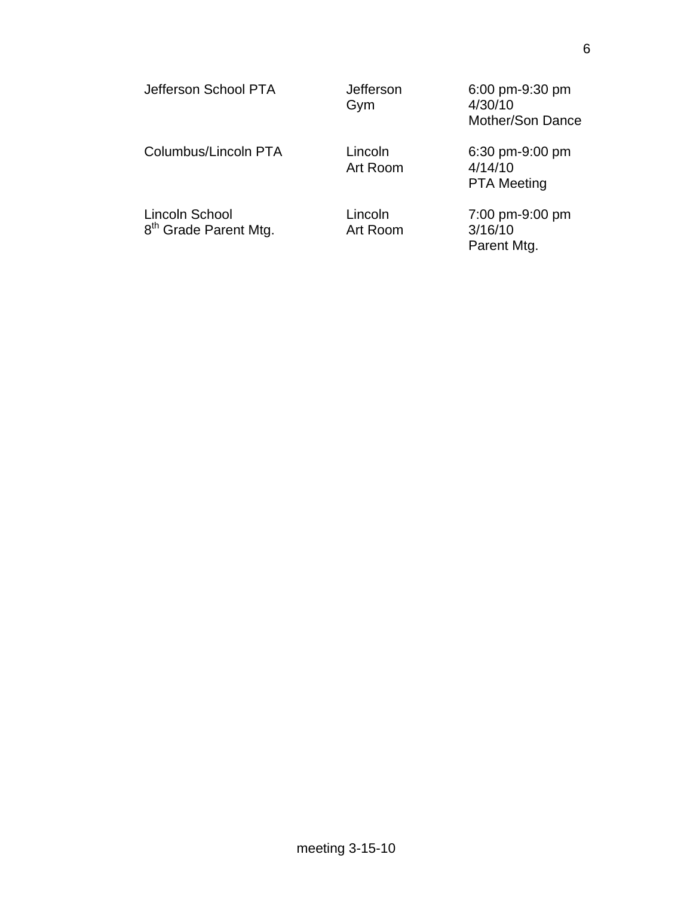| Jefferson School PTA                                | Jefferson<br>Gym    | 6:00 pm-9:30 pm<br>4/30/10<br>Mother/Son Dance   |
|-----------------------------------------------------|---------------------|--------------------------------------------------|
| Columbus/Lincoln PTA                                | Lincoln<br>Art Room | 6:30 pm-9:00 pm<br>4/14/10<br><b>PTA Meeting</b> |
| Lincoln School<br>8 <sup>th</sup> Grade Parent Mtg. | Lincoln<br>Art Room | 7:00 pm-9:00 pm<br>3/16/10<br>Parent Mtg.        |